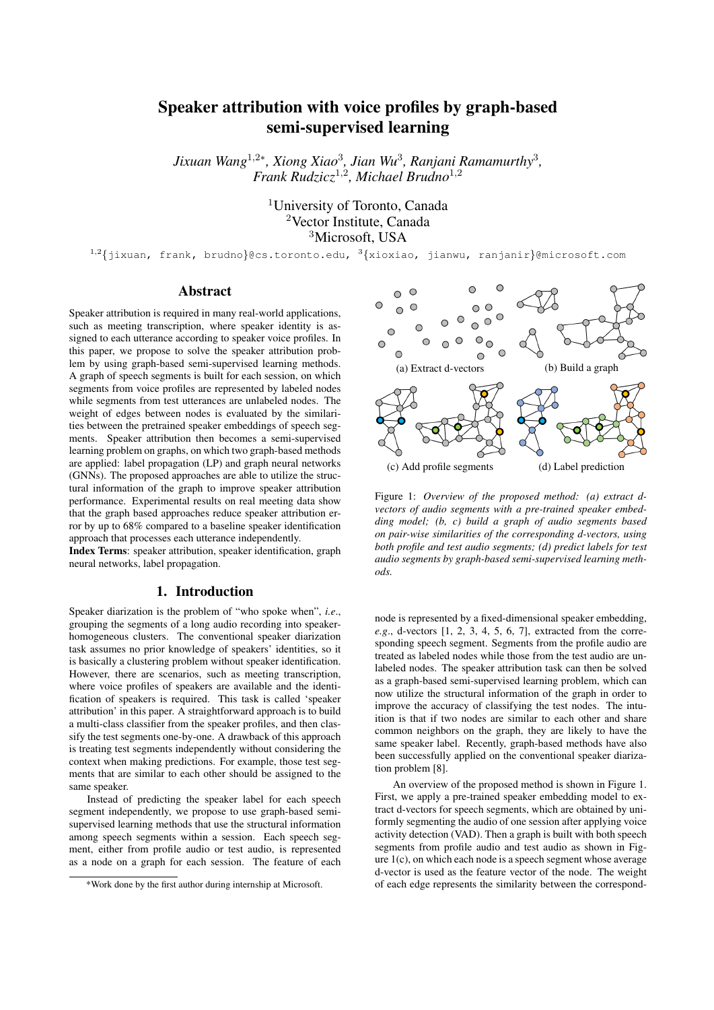# Speaker attribution with voice profiles by graph-based semi-supervised learning

*Jixuan Wang*<sup>1</sup>,2<sup>∗</sup> *, Xiong Xiao*<sup>3</sup> *, Jian Wu*<sup>3</sup> *, Ranjani Ramamurthy*<sup>3</sup> *, Frank Rudzicz*<sup>1</sup>,<sup>2</sup> *, Michael Brudno*<sup>1</sup>,<sup>2</sup>

> <sup>1</sup>University of Toronto, Canada <sup>2</sup>Vector Institute, Canada <sup>3</sup>Microsoft, USA

<sup>1,2</sup>{jixuan, frank, brudno}@cs.toronto.edu, <sup>3</sup>{xioxiao, jianwu, ranjanir}@microsoft.com

## Abstract

Speaker attribution is required in many real-world applications, such as meeting transcription, where speaker identity is assigned to each utterance according to speaker voice profiles. In this paper, we propose to solve the speaker attribution problem by using graph-based semi-supervised learning methods. A graph of speech segments is built for each session, on which segments from voice profiles are represented by labeled nodes while segments from test utterances are unlabeled nodes. The weight of edges between nodes is evaluated by the similarities between the pretrained speaker embeddings of speech segments. Speaker attribution then becomes a semi-supervised learning problem on graphs, on which two graph-based methods are applied: label propagation (LP) and graph neural networks (GNNs). The proposed approaches are able to utilize the structural information of the graph to improve speaker attribution performance. Experimental results on real meeting data show that the graph based approaches reduce speaker attribution error by up to 68% compared to a baseline speaker identification approach that processes each utterance independently.

Index Terms: speaker attribution, speaker identification, graph neural networks, label propagation.

# 1. Introduction

Speaker diarization is the problem of "who spoke when", *i.e*., grouping the segments of a long audio recording into speakerhomogeneous clusters. The conventional speaker diarization task assumes no prior knowledge of speakers' identities, so it is basically a clustering problem without speaker identification. However, there are scenarios, such as meeting transcription, where voice profiles of speakers are available and the identification of speakers is required. This task is called 'speaker attribution' in this paper. A straightforward approach is to build a multi-class classifier from the speaker profiles, and then classify the test segments one-by-one. A drawback of this approach is treating test segments independently without considering the context when making predictions. For example, those test segments that are similar to each other should be assigned to the same speaker.

Instead of predicting the speaker label for each speech segment independently, we propose to use graph-based semisupervised learning methods that use the structural information among speech segments within a session. Each speech segment, either from profile audio or test audio, is represented as a node on a graph for each session. The feature of each



Figure 1: *Overview of the proposed method: (a) extract dvectors of audio segments with a pre-trained speaker embedding model; (b, c) build a graph of audio segments based on pair-wise similarities of the corresponding d-vectors, using both profile and test audio segments; (d) predict labels for test audio segments by graph-based semi-supervised learning methods.*

node is represented by a fixed-dimensional speaker embedding, *e.g*., d-vectors [1, 2, 3, 4, 5, 6, 7], extracted from the corresponding speech segment. Segments from the profile audio are treated as labeled nodes while those from the test audio are unlabeled nodes. The speaker attribution task can then be solved as a graph-based semi-supervised learning problem, which can now utilize the structural information of the graph in order to improve the accuracy of classifying the test nodes. The intuition is that if two nodes are similar to each other and share common neighbors on the graph, they are likely to have the same speaker label. Recently, graph-based methods have also been successfully applied on the conventional speaker diarization problem [8].

An overview of the proposed method is shown in Figure 1. First, we apply a pre-trained speaker embedding model to extract d-vectors for speech segments, which are obtained by uniformly segmenting the audio of one session after applying voice activity detection (VAD). Then a graph is built with both speech segments from profile audio and test audio as shown in Figure 1(c), on which each node is a speech segment whose average d-vector is used as the feature vector of the node. The weight of each edge represents the similarity between the correspond-

<sup>\*</sup>Work done by the first author during internship at Microsoft.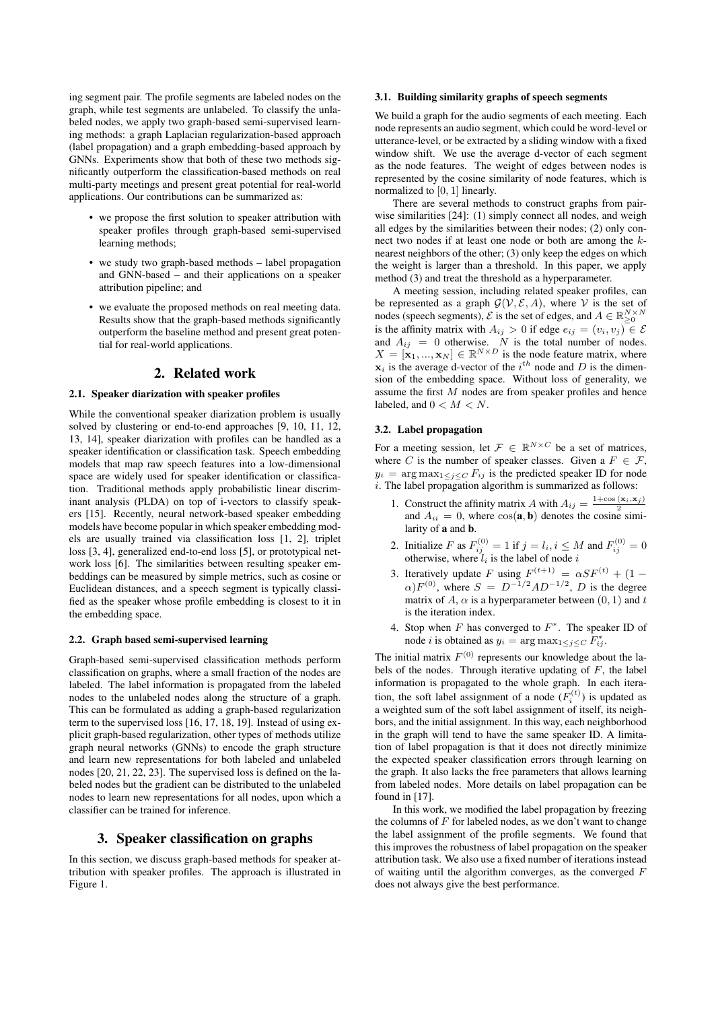ing segment pair. The profile segments are labeled nodes on the graph, while test segments are unlabeled. To classify the unlabeled nodes, we apply two graph-based semi-supervised learning methods: a graph Laplacian regularization-based approach (label propagation) and a graph embedding-based approach by GNNs. Experiments show that both of these two methods significantly outperform the classification-based methods on real multi-party meetings and present great potential for real-world applications. Our contributions can be summarized as:

- we propose the first solution to speaker attribution with speaker profiles through graph-based semi-supervised learning methods;
- we study two graph-based methods label propagation and GNN-based – and their applications on a speaker attribution pipeline; and
- we evaluate the proposed methods on real meeting data. Results show that the graph-based methods significantly outperform the baseline method and present great potential for real-world applications.

# 2. Related work

### 2.1. Speaker diarization with speaker profiles

While the conventional speaker diarization problem is usually solved by clustering or end-to-end approaches [9, 10, 11, 12, 13, 14], speaker diarization with profiles can be handled as a speaker identification or classification task. Speech embedding models that map raw speech features into a low-dimensional space are widely used for speaker identification or classification. Traditional methods apply probabilistic linear discriminant analysis (PLDA) on top of i-vectors to classify speakers [15]. Recently, neural network-based speaker embedding models have become popular in which speaker embedding models are usually trained via classification loss [1, 2], triplet loss [3, 4], generalized end-to-end loss [5], or prototypical network loss [6]. The similarities between resulting speaker embeddings can be measured by simple metrics, such as cosine or Euclidean distances, and a speech segment is typically classified as the speaker whose profile embedding is closest to it in the embedding space.

### 2.2. Graph based semi-supervised learning

Graph-based semi-supervised classification methods perform classification on graphs, where a small fraction of the nodes are labeled. The label information is propagated from the labeled nodes to the unlabeled nodes along the structure of a graph. This can be formulated as adding a graph-based regularization term to the supervised loss [16, 17, 18, 19]. Instead of using explicit graph-based regularization, other types of methods utilize graph neural networks (GNNs) to encode the graph structure and learn new representations for both labeled and unlabeled nodes [20, 21, 22, 23]. The supervised loss is defined on the labeled nodes but the gradient can be distributed to the unlabeled nodes to learn new representations for all nodes, upon which a classifier can be trained for inference.

# 3. Speaker classification on graphs

In this section, we discuss graph-based methods for speaker attribution with speaker profiles. The approach is illustrated in Figure 1.

# 3.1. Building similarity graphs of speech segments

We build a graph for the audio segments of each meeting. Each node represents an audio segment, which could be word-level or utterance-level, or be extracted by a sliding window with a fixed window shift. We use the average d-vector of each segment as the node features. The weight of edges between nodes is represented by the cosine similarity of node features, which is normalized to [0, 1] linearly.

There are several methods to construct graphs from pairwise similarities [24]: (1) simply connect all nodes, and weigh all edges by the similarities between their nodes; (2) only connect two nodes if at least one node or both are among the knearest neighbors of the other; (3) only keep the edges on which the weight is larger than a threshold. In this paper, we apply method (3) and treat the threshold as a hyperparameter.

A meeting session, including related speaker profiles, can be represented as a graph  $G(V, \mathcal{E}, A)$ , where V is the set of nodes (speech segments),  $\mathcal{E}$  is the set of edges, and  $A \in \mathbb{R}_{\geq 0}^{N \times N}$ is the affinity matrix with  $A_{ij} > 0$  if edge  $e_{ij} = (v_i, v_j) \in \mathcal{E}$ and  $A_{ij} = 0$  otherwise. N is the total number of nodes.  $X = [\mathbf{x}_1, ..., \mathbf{x}_N] \in \mathbb{R}^{N \times D}$  is the node feature matrix, where  $x_i$  is the average d-vector of the  $i^{th}$  node and D is the dimension of the embedding space. Without loss of generality, we assume the first M nodes are from speaker profiles and hence labeled, and  $0 < M < N$ .

#### 3.2. Label propagation

For a meeting session, let  $\mathcal{F} \in \mathbb{R}^{N \times C}$  be a set of matrices, where C is the number of speaker classes. Given a  $F \in \mathcal{F}$ ,  $y_i = \arg \max_{1 \leq j \leq C} F_{ij}$  is the predicted speaker ID for node i. The label propagation algorithm is summarized as follows:

- 1. Construct the affinity matrix A with  $A_{ij} = \frac{1+\cos(\mathbf{x}_i,\mathbf{x}_j)}{2}$ and  $A_{ii} = 0$ , where  $cos(\mathbf{a}, \mathbf{b})$  denotes the cosine similarity of a and b.
- 2. Initialize F as  $F_{ij}^{(0)} = 1$  if  $j = l_i, i \leq M$  and  $F_{ij}^{(0)} = 0$ otherwise, where  $l_i$  is the label of node i
- 3. Iteratively update F using  $F^{(t+1)} = \alpha SF^{(t)} + (1 \alpha$ ) $F^{(0)}$ , where  $S = D^{-1/2}AD^{-1/2}$ , D is the degree matrix of A,  $\alpha$  is a hyperparameter between  $(0, 1)$  and t is the iteration index.
- 4. Stop when  $F$  has converged to  $F^*$ . The speaker ID of node *i* is obtained as  $y_i = \arg \max_{1 \leq j \leq C} F_{ij}^*$ .

The initial matrix  $F^{(0)}$  represents our knowledge about the labels of the nodes. Through iterative updating of  $F$ , the label information is propagated to the whole graph. In each iteration, the soft label assignment of a node  $(F_i^{(t)})$  is updated as a weighted sum of the soft label assignment of itself, its neighbors, and the initial assignment. In this way, each neighborhood in the graph will tend to have the same speaker ID. A limitation of label propagation is that it does not directly minimize the expected speaker classification errors through learning on the graph. It also lacks the free parameters that allows learning from labeled nodes. More details on label propagation can be found in [17].

In this work, we modified the label propagation by freezing the columns of  $F$  for labeled nodes, as we don't want to change the label assignment of the profile segments. We found that this improves the robustness of label propagation on the speaker attribution task. We also use a fixed number of iterations instead of waiting until the algorithm converges, as the converged F does not always give the best performance.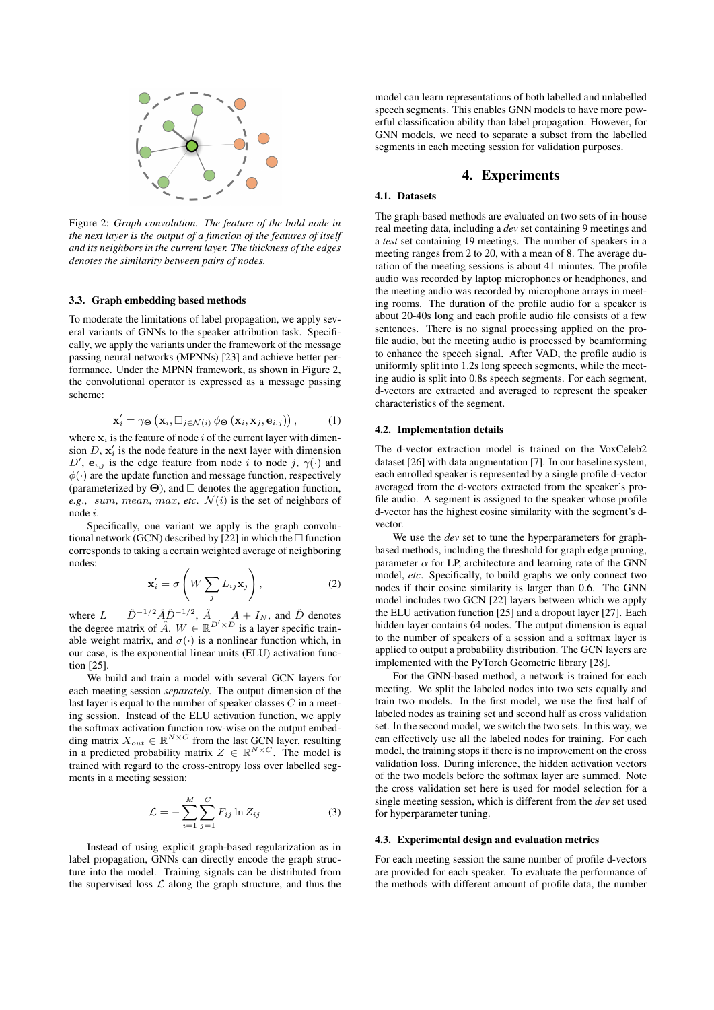

Figure 2: *Graph convolution. The feature of the bold node in the next layer is the output of a function of the features of itself and its neighbors in the current layer. The thickness of the edges denotes the similarity between pairs of nodes.*

# 3.3. Graph embedding based methods

To moderate the limitations of label propagation, we apply several variants of GNNs to the speaker attribution task. Specifically, we apply the variants under the framework of the message passing neural networks (MPNNs) [23] and achieve better performance. Under the MPNN framework, as shown in Figure 2, the convolutional operator is expressed as a message passing scheme:

$$
\mathbf{x}'_i = \gamma_{\boldsymbol{\Theta}} \left( \mathbf{x}_i, \Box_{j \in \mathcal{N}(i)} \phi_{\boldsymbol{\Theta}} \left( \mathbf{x}_i, \mathbf{x}_j, \mathbf{e}_{i,j} \right) \right), \tag{1}
$$

where  $x_i$  is the feature of node i of the current layer with dimension  $D$ ,  $\mathbf{x}'_i$  is the node feature in the next layer with dimension D',  $e_{i,j}$  is the edge feature from node i to node j,  $\gamma(\cdot)$  and  $\phi(\cdot)$  are the update function and message function, respectively (parameterized by  $\Theta$ ), and  $\Box$  denotes the aggregation function, *e.g., sum, mean, max, etc.*  $\mathcal{N}(i)$  is the set of neighbors of node i.

Specifically, one variant we apply is the graph convolutional network (GCN) described by [22] in which the  $\Box$  function corresponds to taking a certain weighted average of neighboring nodes:

$$
\mathbf{x}'_i = \sigma \left( W \sum_j L_{ij} \mathbf{x}_j \right), \tag{2}
$$

where  $L = \hat{D}^{-1/2} \hat{A} \hat{D}^{-1/2}$ ,  $\hat{A} = A + I_N$ , and  $\hat{D}$  denotes the degree matrix of  $\hat{A}$ .  $W \in \mathbb{R}^{D' \times D}$  is a layer specific trainable weight matrix, and  $\sigma(\cdot)$  is a nonlinear function which, in our case, is the exponential linear units (ELU) activation function [25].

We build and train a model with several GCN layers for each meeting session *separately*. The output dimension of the last layer is equal to the number of speaker classes  $C$  in a meeting session. Instead of the ELU activation function, we apply the softmax activation function row-wise on the output embedding matrix  $X_{out} \in \mathbb{R}^{N \times C}$  from the last GCN layer, resulting in a predicted probability matrix  $Z \in \mathbb{R}^{N \times C}$ . The model is trained with regard to the cross-entropy loss over labelled segments in a meeting session:

$$
\mathcal{L} = -\sum_{i=1}^{M} \sum_{j=1}^{C} F_{ij} \ln Z_{ij}
$$
 (3)

Instead of using explicit graph-based regularization as in label propagation, GNNs can directly encode the graph structure into the model. Training signals can be distributed from the supervised loss  $\mathcal L$  along the graph structure, and thus the

model can learn representations of both labelled and unlabelled speech segments. This enables GNN models to have more powerful classification ability than label propagation. However, for GNN models, we need to separate a subset from the labelled segments in each meeting session for validation purposes.

## 4. Experiments

### 4.1. Datasets

The graph-based methods are evaluated on two sets of in-house real meeting data, including a *dev* set containing 9 meetings and a *test* set containing 19 meetings. The number of speakers in a meeting ranges from 2 to 20, with a mean of 8. The average duration of the meeting sessions is about 41 minutes. The profile audio was recorded by laptop microphones or headphones, and the meeting audio was recorded by microphone arrays in meeting rooms. The duration of the profile audio for a speaker is about 20-40s long and each profile audio file consists of a few sentences. There is no signal processing applied on the profile audio, but the meeting audio is processed by beamforming to enhance the speech signal. After VAD, the profile audio is uniformly split into 1.2s long speech segments, while the meeting audio is split into 0.8s speech segments. For each segment, d-vectors are extracted and averaged to represent the speaker characteristics of the segment.

#### 4.2. Implementation details

The d-vector extraction model is trained on the VoxCeleb2 dataset [26] with data augmentation [7]. In our baseline system, each enrolled speaker is represented by a single profile d-vector averaged from the d-vectors extracted from the speaker's profile audio. A segment is assigned to the speaker whose profile d-vector has the highest cosine similarity with the segment's dvector.

We use the *dev* set to tune the hyperparameters for graphbased methods, including the threshold for graph edge pruning, parameter  $\alpha$  for LP, architecture and learning rate of the GNN model, *etc*. Specifically, to build graphs we only connect two nodes if their cosine similarity is larger than 0.6. The GNN model includes two GCN [22] layers between which we apply the ELU activation function [25] and a dropout layer [27]. Each hidden layer contains 64 nodes. The output dimension is equal to the number of speakers of a session and a softmax layer is applied to output a probability distribution. The GCN layers are implemented with the PyTorch Geometric library [28].

For the GNN-based method, a network is trained for each meeting. We split the labeled nodes into two sets equally and train two models. In the first model, we use the first half of labeled nodes as training set and second half as cross validation set. In the second model, we switch the two sets. In this way, we can effectively use all the labeled nodes for training. For each model, the training stops if there is no improvement on the cross validation loss. During inference, the hidden activation vectors of the two models before the softmax layer are summed. Note the cross validation set here is used for model selection for a single meeting session, which is different from the *dev* set used for hyperparameter tuning.

#### 4.3. Experimental design and evaluation metrics

For each meeting session the same number of profile d-vectors are provided for each speaker. To evaluate the performance of the methods with different amount of profile data, the number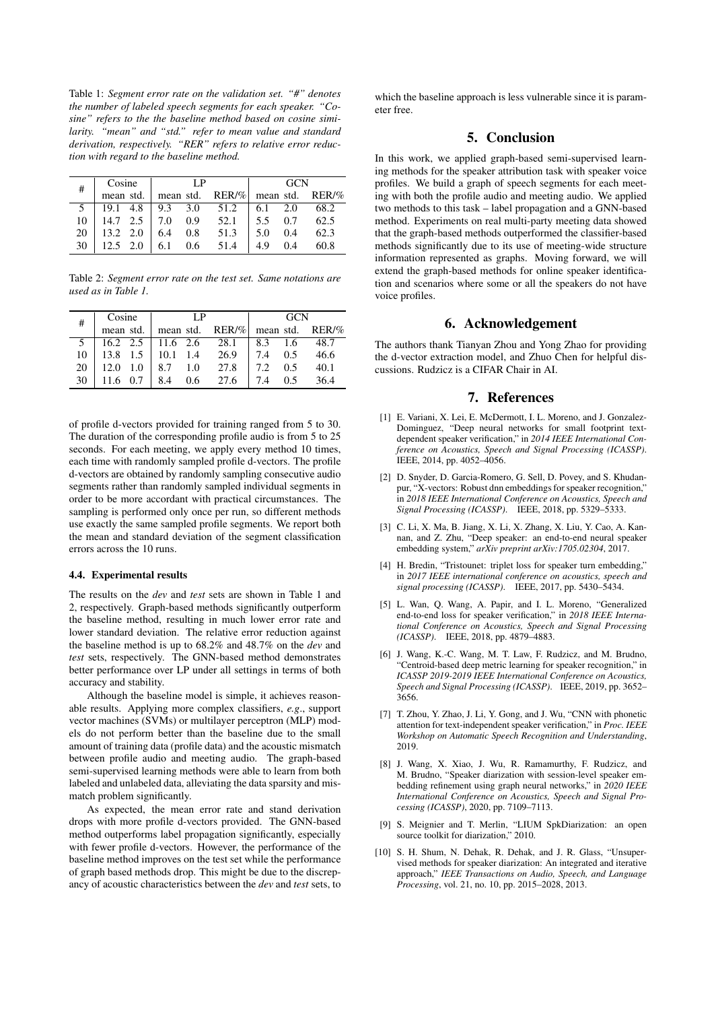Table 1: *Segment error rate on the validation set. "#" denotes the number of labeled speech segments for each speaker. "Cosine" refers to the the baseline method based on cosine similarity. "mean" and "std." refer to mean value and standard derivation, respectively. "RER" refers to relative error reduction with regard to the baseline method.*

| #  | Cosine       | ΙP                         |      | <b>GCN</b>          |     |                             |
|----|--------------|----------------------------|------|---------------------|-----|-----------------------------|
|    | mean std.    | mean std.                  |      |                     |     | $RER/\%$ mean std. $RER/\%$ |
|    | 19.1 4.8     | $9.3 \quad 3.0 \quad 51.2$ |      | 6.1                 | 2.0 | 68.2                        |
| 10 | 14.7 2.5     | $7.0\quad 0.9$             | 52.1 | $\frac{1}{5.5}$ 0.7 |     | 62.5                        |
| 20 | 13.2 2.0     | $6.4$ 0.8                  | 51.3 | 5.0                 | 0.4 | 62.3                        |
| 30 | $12.5 \t2.0$ | 0.6<br>6.1                 | 51.4 | 49                  | 0.4 | 60.8                        |

Table 2: *Segment error rate on the test set. Same notations are used as in Table 1.*

| # | Cosine | $\mathbf{I} \mathbf{P}$                       |  | - GCN |  |  |
|---|--------|-----------------------------------------------|--|-------|--|--|
|   |        | mean std.   mean std. RER/%   mean std. RER/% |  |       |  |  |
|   |        |                                               |  |       |  |  |
|   |        |                                               |  |       |  |  |
|   |        |                                               |  |       |  |  |
|   |        |                                               |  |       |  |  |

of profile d-vectors provided for training ranged from 5 to 30. The duration of the corresponding profile audio is from 5 to 25 seconds. For each meeting, we apply every method 10 times, each time with randomly sampled profile d-vectors. The profile d-vectors are obtained by randomly sampling consecutive audio segments rather than randomly sampled individual segments in order to be more accordant with practical circumstances. The sampling is performed only once per run, so different methods use exactly the same sampled profile segments. We report both the mean and standard deviation of the segment classification errors across the 10 runs.

#### 4.4. Experimental results

The results on the *dev* and *test* sets are shown in Table 1 and 2, respectively. Graph-based methods significantly outperform the baseline method, resulting in much lower error rate and lower standard deviation. The relative error reduction against the baseline method is up to 68.2% and 48.7% on the *dev* and *test* sets, respectively. The GNN-based method demonstrates better performance over LP under all settings in terms of both accuracy and stability.

Although the baseline model is simple, it achieves reasonable results. Applying more complex classifiers, *e.g*., support vector machines (SVMs) or multilayer perceptron (MLP) models do not perform better than the baseline due to the small amount of training data (profile data) and the acoustic mismatch between profile audio and meeting audio. The graph-based semi-supervised learning methods were able to learn from both labeled and unlabeled data, alleviating the data sparsity and mismatch problem significantly.

As expected, the mean error rate and stand derivation drops with more profile d-vectors provided. The GNN-based method outperforms label propagation significantly, especially with fewer profile d-vectors. However, the performance of the baseline method improves on the test set while the performance of graph based methods drop. This might be due to the discrepancy of acoustic characteristics between the *dev* and *test* sets, to

which the baseline approach is less vulnerable since it is parameter free.

# 5. Conclusion

In this work, we applied graph-based semi-supervised learning methods for the speaker attribution task with speaker voice profiles. We build a graph of speech segments for each meeting with both the profile audio and meeting audio. We applied two methods to this task – label propagation and a GNN-based method. Experiments on real multi-party meeting data showed that the graph-based methods outperformed the classifier-based methods significantly due to its use of meeting-wide structure information represented as graphs. Moving forward, we will extend the graph-based methods for online speaker identification and scenarios where some or all the speakers do not have voice profiles.

# 6. Acknowledgement

The authors thank Tianyan Zhou and Yong Zhao for providing the d-vector extraction model, and Zhuo Chen for helpful discussions. Rudzicz is a CIFAR Chair in AI.

# 7. References

- [1] E. Variani, X. Lei, E. McDermott, I. L. Moreno, and J. Gonzalez-Dominguez, "Deep neural networks for small footprint textdependent speaker verification," in *2014 IEEE International Conference on Acoustics, Speech and Signal Processing (ICASSP)*. IEEE, 2014, pp. 4052–4056.
- [2] D. Snyder, D. Garcia-Romero, G. Sell, D. Povey, and S. Khudanpur, "X-vectors: Robust dnn embeddings for speaker recognition," in *2018 IEEE International Conference on Acoustics, Speech and Signal Processing (ICASSP)*. IEEE, 2018, pp. 5329–5333.
- [3] C. Li, X. Ma, B. Jiang, X. Li, X. Zhang, X. Liu, Y. Cao, A. Kannan, and Z. Zhu, "Deep speaker: an end-to-end neural speaker embedding system," *arXiv preprint arXiv:1705.02304*, 2017.
- [4] H. Bredin, "Tristounet: triplet loss for speaker turn embedding." in *2017 IEEE international conference on acoustics, speech and signal processing (ICASSP)*. IEEE, 2017, pp. 5430–5434.
- [5] L. Wan, Q. Wang, A. Papir, and I. L. Moreno, "Generalized end-to-end loss for speaker verification," in *2018 IEEE International Conference on Acoustics, Speech and Signal Processing (ICASSP)*. IEEE, 2018, pp. 4879–4883.
- [6] J. Wang, K.-C. Wang, M. T. Law, F. Rudzicz, and M. Brudno, "Centroid-based deep metric learning for speaker recognition," in *ICASSP 2019-2019 IEEE International Conference on Acoustics, Speech and Signal Processing (ICASSP)*. IEEE, 2019, pp. 3652– 3656.
- [7] T. Zhou, Y. Zhao, J. Li, Y. Gong, and J. Wu, "CNN with phonetic attention for text-independent speaker verification," in *Proc. IEEE Workshop on Automatic Speech Recognition and Understanding*, 2019.
- [8] J. Wang, X. Xiao, J. Wu, R. Ramamurthy, F. Rudzicz, and M. Brudno, "Speaker diarization with session-level speaker embedding refinement using graph neural networks," in *2020 IEEE International Conference on Acoustics, Speech and Signal Processing (ICASSP)*, 2020, pp. 7109–7113.
- [9] S. Meignier and T. Merlin, "LIUM SpkDiarization: an open source toolkit for diarization," 2010.
- [10] S. H. Shum, N. Dehak, R. Dehak, and J. R. Glass, "Unsupervised methods for speaker diarization: An integrated and iterative approach," *IEEE Transactions on Audio, Speech, and Language Processing*, vol. 21, no. 10, pp. 2015–2028, 2013.